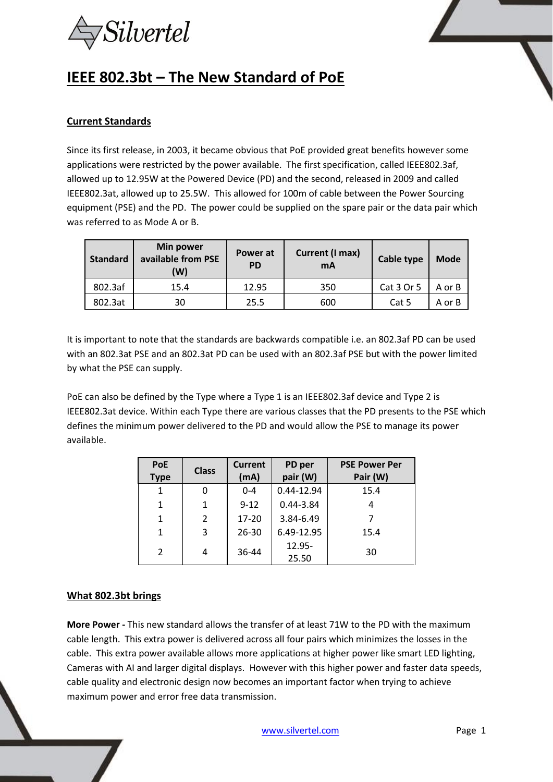

# **IEEE 802.3bt – The New Standard of PoE**

### **Current Standards**

Since its first release, in 2003, it became obvious that PoE provided great benefits however some applications were restricted by the power available. The first specification, called IEEE802.3af, allowed up to 12.95W at the Powered Device (PD) and the second, released in 2009 and called IEEE802.3at, allowed up to 25.5W. This allowed for 100m of cable between the Power Sourcing equipment (PSE) and the PD. The power could be supplied on the spare pair or the data pair which was referred to as Mode A or B.

| <b>Standard</b> | <b>Min power</b><br>available from PSE<br>(W) | Power at<br><b>PD</b> | Current (I max)<br>mA | Cable type | <b>Mode</b> |
|-----------------|-----------------------------------------------|-----------------------|-----------------------|------------|-------------|
| 802.3af         | 15.4                                          | 12.95                 | 350                   | Cat 3 Or 5 | A or B      |
| 802.3at         | 30                                            | 25.5                  | 600                   | Cat 5      | A or B      |

It is important to note that the standards are backwards compatible i.e. an 802.3af PD can be used with an 802.3at PSE and an 802.3at PD can be used with an 802.3af PSE but with the power limited by what the PSE can supply.

PoE can also be defined by the Type where a Type 1 is an IEEE802.3af device and Type 2 is IEEE802.3at device. Within each Type there are various classes that the PD presents to the PSE which defines the minimum power delivered to the PD and would allow the PSE to manage its power available.

| <b>PoE</b><br><b>Type</b> | <b>Class</b>  | <b>Current</b><br>(mA) | PD per<br>pair (W) | <b>PSE Power Per</b><br>Pair (W) |
|---------------------------|---------------|------------------------|--------------------|----------------------------------|
| 1                         | 0             | $0 - 4$                | 0.44-12.94         | 15.4                             |
| 1                         | 1             | $9 - 12$               | $0.44 - 3.84$      |                                  |
| $\mathbf{1}$              | $\mathcal{P}$ | $17 - 20$              | 3.84-6.49          |                                  |
| 1                         | 3             | $26 - 30$              | 6.49-12.95         | 15.4                             |
| $\mathcal{P}$             | 4             | 36-44                  | 12.95-<br>25.50    | 30                               |

#### **What 802.3bt brings**

**More Power -** This new standard allows the transfer of at least 71W to the PD with the maximum cable length. This extra power is delivered across all four pairs which minimizes the losses in the cable. This extra power available allows more applications at higher power like smart LED lighting, Cameras with AI and larger digital displays. However with this higher power and faster data speeds, cable quality and electronic design now becomes an important factor when trying to achieve maximum power and error free data transmission.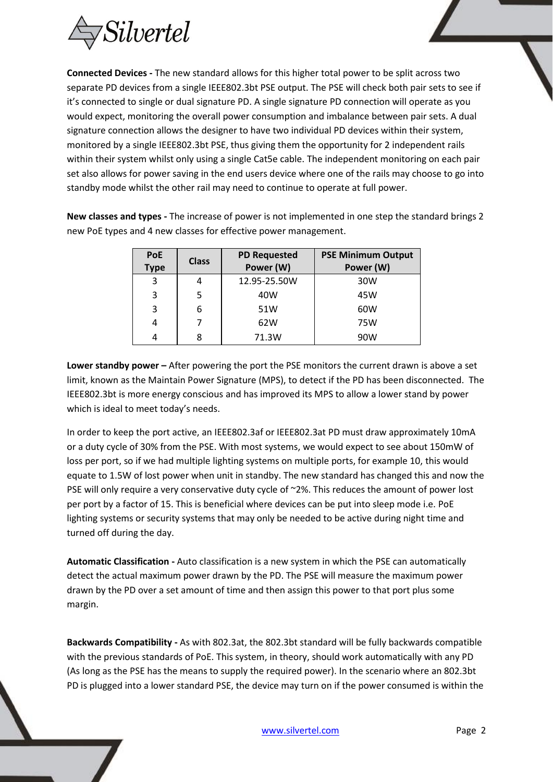

**Connected Devices -** The new standard allows for this higher total power to be split across two separate PD devices from a single IEEE802.3bt PSE output. The PSE will check both pair sets to see if it's connected to single or dual signature PD. A single signature PD connection will operate as you would expect, monitoring the overall power consumption and imbalance between pair sets. A dual signature connection allows the designer to have two individual PD devices within their system, monitored by a single IEEE802.3bt PSE, thus giving them the opportunity for 2 independent rails within their system whilst only using a single Cat5e cable. The independent monitoring on each pair set also allows for power saving in the end users device where one of the rails may choose to go into standby mode whilst the other rail may need to continue to operate at full power.

**New classes and types -** The increase of power is not implemented in one step the standard brings 2 new PoE types and 4 new classes for effective power management.

| <b>PoE</b>  | <b>Class</b> | <b>PD Requested</b> | <b>PSE Minimum Output</b> |
|-------------|--------------|---------------------|---------------------------|
| <b>Type</b> |              | Power (W)           | Power (W)                 |
| 3           |              | 12.95-25.50W        | 30W                       |
| 3           | 5            | 40W                 | 45W                       |
| 3           | 6            | 51W                 | 60W                       |
| 4           |              | 62W                 | 75W                       |
| 4           | 8            | 71.3W               | 90W                       |

**Lower standby power –** After powering the port the PSE monitors the current drawn is above a set limit, known as the Maintain Power Signature (MPS), to detect if the PD has been disconnected. The IEEE802.3bt is more energy conscious and has improved its MPS to allow a lower stand by power which is ideal to meet today's needs.

In order to keep the port active, an IEEE802.3af or IEEE802.3at PD must draw approximately 10mA or a duty cycle of 30% from the PSE. With most systems, we would expect to see about 150mW of loss per port, so if we had multiple lighting systems on multiple ports, for example 10, this would equate to 1.5W of lost power when unit in standby. The new standard has changed this and now the PSE will only require a very conservative duty cycle of ~2%. This reduces the amount of power lost per port by a factor of 15. This is beneficial where devices can be put into sleep mode i.e. PoE lighting systems or security systems that may only be needed to be active during night time and turned off during the day.

**Automatic Classification -** Auto classification is a new system in which the PSE can automatically detect the actual maximum power drawn by the PD. The PSE will measure the maximum power drawn by the PD over a set amount of time and then assign this power to that port plus some margin.

**Backwards Compatibility -** As with 802.3at, the 802.3bt standard will be fully backwards compatible with the previous standards of PoE. This system, in theory, should work automatically with any PD (As long as the PSE has the means to supply the required power). In the scenario where an 802.3bt PD is plugged into a lower standard PSE, the device may turn on if the power consumed is within the